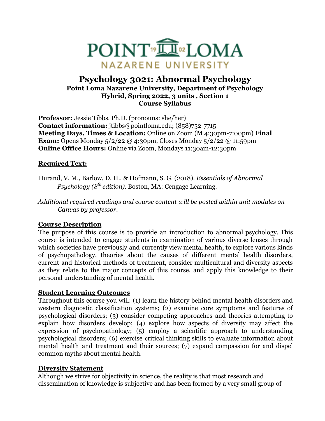

# **Psychology 3021: Abnormal Psychology Point Loma Nazarene University, Department of Psychology Hybrid, Spring 2022, 3 units , Section 1 Course Syllabus**

**Professor:** Jessie Tibbs, Ph.D. (pronouns: she/her) **Contact information:** jtibbs@pointloma.edu; (858)752-7715 **Meeting Days, Times & Location:** Online on Zoom (M 4:30pm-7:00pm) **Final Exam:** Opens Monday 5/2/22 @ 4:30pm, Closes Monday 5/2/22 @ 11:59pm **Online Office Hours:** Online via Zoom, Mondays 11:30am-12:30pm

## **Required Text:**

- Durand, V. M., Barlow, D. H., & Hofmann, S. G. (2018). *Essentials of Abnormal Psychology (8th edition).* Boston, MA: Cengage Learning.
- *Additional required readings and course content will be posted within unit modules on Canvas by professor.*

## **Course Description**

The purpose of this course is to provide an introduction to abnormal psychology. This course is intended to engage students in examination of various diverse lenses through which societies have previously and currently view mental health, to explore various kinds of psychopathology, theories about the causes of different mental health disorders, current and historical methods of treatment, consider multicultural and diversity aspects as they relate to the major concepts of this course, and apply this knowledge to their personal understanding of mental health.

## **Student Learning Outcomes**

Throughout this course you will: (1) learn the history behind mental health disorders and western diagnostic classification systems; (2) examine core symptoms and features of psychological disorders; (3) consider competing approaches and theories attempting to explain how disorders develop; (4) explore how aspects of diversity may affect the expression of psychopathology; (5) employ a scientific approach to understanding psychological disorders; (6) exercise critical thinking skills to evaluate information about mental health and treatment and their sources; (7) expand compassion for and dispel common myths about mental health.

## **Diversity Statement**

Although we strive for objectivity in science, the reality is that most research and dissemination of knowledge is subjective and has been formed by a very small group of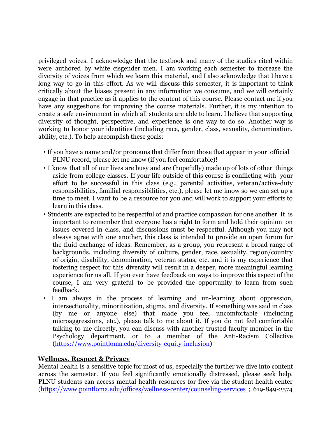privileged voices. I acknowledge that the textbook and many of the studies cited within were authored by white cisgender men. I am working each semester to increase the diversity of voices from which we learn this material, and I also acknowledge that I have a long way to go in this effort. As we will discuss this semester, it is important to think critically about the biases present in any information we consume, and we will certainly engage in that practice as it applies to the content of this course. Please contact me if you have any suggestions for improving the course materials. Further, it is my intention to create a safe environment in which all students are able to learn. I believe that supporting diversity of thought, perspective, and experience is one way to do so. Another way is working to honor your identities (including race, gender, class, sexuality, denomination, ability, etc.). To help accomplish these goals:

- If you have a name and/or pronouns that differ from those that appear in your official PLNU record, please let me know (if you feel comfortable)!
- I know that all of our lives are busy and are (hopefully) made up of lots of other things aside from college classes. If your life outside of this course is conflicting with your effort to be successful in this class (e.g., parental activities, veteran/active-duty responsibilities, familial responsibilities, etc.), please let me know so we can set up a time to meet. I want to be a resource for you and will work to support your efforts to learn in this class.
- Students are expected to be respectful of and practice compassion for one another. It is important to remember that everyone has a right to form and hold their opinion on issues covered in class, and discussions must be respectful. Although you may not always agree with one another, this class is intended to provide an open forum for the fluid exchange of ideas. Remember, as a group, you represent a broad range of backgrounds, including diversity of culture, gender, race, sexuality, region/country of origin, disability, denomination, veteran status, etc. and it is my experience that fostering respect for this diversity will result in a deeper, more meaningful learning experience for us all. If you ever have feedback on ways to improve this aspect of the course, I am very grateful to be provided the opportunity to learn from such feedback.
- I am always in the process of learning and un-learning about oppression, intersectionality, minoritization, stigma, and diversity. If something was said in class (by me or anyone else) that made you feel uncomfortable (including microaggressions, etc.), please talk to me about it. If you do not feel comfortable talking to me directly, you can discuss with another trusted faculty member in the Psychology department, or to a member of the Anti-Racism Collective (https://www.pointloma.edu/diversity-equity-inclusion)

### **Wellness, Respect & Privacy**

Mental health is a sensitive topic for most of us, especially the further we dive into content across the semester. If you feel significantly emotionally distressed, please seek help. PLNU students can access mental health resources for free via the student health center (https://www.pointloma.edu/offices/wellness-center/counseling-services ; 619-849-2574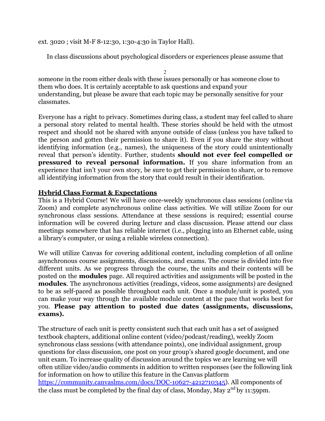ext. 3020 ; visit M-F 8-12:30, 1:30-4:30 in Taylor Hall).

In class discussions about psychological disorders or experiences please assume that

 $\mathcal{D}$ someone in the room either deals with these issues personally or has someone close to them who does. It is certainly acceptable to ask questions and expand your understanding, but please be aware that each topic may be personally sensitive for your classmates.

Everyone has a right to privacy. Sometimes during class, a student may feel called to share a personal story related to mental health. These stories should be held with the utmost respect and should not be shared with anyone outside of class (unless you have talked to the person and gotten their permission to share it). Even if you share the story without identifying information (e.g., names), the uniqueness of the story could unintentionally reveal that person's identity. Further, students **should not ever feel compelled or pressured to reveal personal information.** If you share information from an experience that isn't your own story, be sure to get their permission to share, or to remove all identifying information from the story that could result in their identification.

### **Hybrid Class Format & Expectations**

This is a Hybrid Course! We will have once-weekly synchronous class sessions (online via Zoom) and complete asynchronous online class activities. We will utilize Zoom for our synchronous class sessions. Attendance at these sessions is required; essential course information will be covered during lecture and class discussion. Please attend our class meetings somewhere that has reliable internet (i.e., plugging into an Ethernet cable, using a library's computer, or using a reliable wireless connection).

We will utilize Canvas for covering additional content, including completion of all online asynchronous course assignments, discussions, and exams. The course is divided into five different units. As we progress through the course, the units and their contents will be posted on the **modules** page. All required activities and assignments will be posted in the **modules**. The asynchronous activities (readings, videos, some assignments) are designed to be as self-paced as possible throughout each unit. Once a module/unit is posted, you can make your way through the available module content at the pace that works best for you. **Please pay attention to posted due dates (assignments, discussions, exams).**

The structure of each unit is pretty consistent such that each unit has a set of assigned textbook chapters, additional online content (video/podcast/reading), weekly Zoom synchronous class sessions (with attendance points), one individual assignment, group questions for class discussion, one post on your group's shared google document, and one unit exam. To increase quality of discussion around the topics we are learning we will often utilize video/audio comments in addition to written responses (see the following link for information on how to utilize this feature in the Canvas platform https://community.canvaslms.com/docs/DOC-10627-4212710345). All components of the class must be completed by the final day of class, Monday, May  $2^{nd}$  by 11:59pm.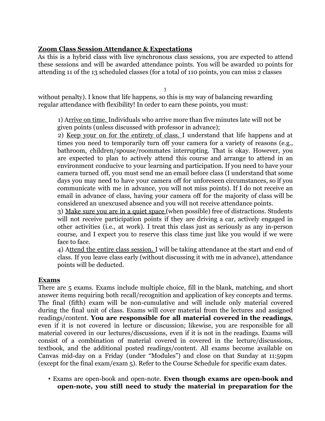## **Zoom Class Session Attendance & Expectations**

As this is a hybrid class with live synchronous class sessions, you are expected to attend these sessions and will be awarded attendance points. You will be awarded 10 points for attending 11 of the 13 scheduled classes (for a total of 110 points, you can miss 2 classes

3

without penalty). I know that life happens, so this is my way of balancing rewarding regular attendance with flexibility! In order to earn these points, you must:

1) Arrive on time. Individuals who arrive more than five minutes late will not be given points (unless discussed with professor in advance);

2) Keep your on for the entirety of class. I understand that life happens and at times you need to temporarily turn off your camera for a variety of reasons (e.g., bathroom, children/spouse/roommates interrupting. That is okay. However, you are expected to plan to actively attend this course and arrange to attend in an environment conducive to your learning and participation. If you need to have your camera turned off, you must send me an email before class (I understand that some days you may need to have your camera off for unforeseen circumstances, so if you communicate with me in advance, you will not miss points). If I do not receive an email in advance of class, having your camera off for the majority of class will be considered an unexcused absence and you will not receive attendance points.

3) Make sure you are in a quiet space (when possible) free of distractions. Students will not receive participation points if they are driving a car, actively engaged in other activities (i.e., at work). I treat this class just as seriously as any in-person course, and I expect you to reserve this class time just like you would if we were face to face.

4) Attend the entire class session. I will be taking attendance at the start and end of class. If you leave class early (without discussing it with me in advance), attendance points will be deducted.

## **Exams**

There are 5 exams. Exams include multiple choice, fill in the blank, matching, and short answer items requiring both recall/recognition and application of key concepts and terms. The final (fifth) exam will be non-cumulative and will include only material covered during the final unit of class. Exams will cover material from the lectures and assigned readings/content. **You are responsible for all material covered in the readings**, even if it is not covered in lecture or discussion; likewise, you are responsible for all material covered in our lectures/discussions, even if it is not in the readings. Exams will consist of a combination of material covered in covered in the lecture/discussions, textbook, and the additional posted readings/content. All exams become available on Canvas mid-day on a Friday (under "Modules") and close on that Sunday at 11:59pm (except for the final exam/exam 5). Refer to the Course Schedule for specific exam dates.

• Exams are open-book and open-note. **Even though exams are open-book and open-note, you still need to study the material in preparation for the**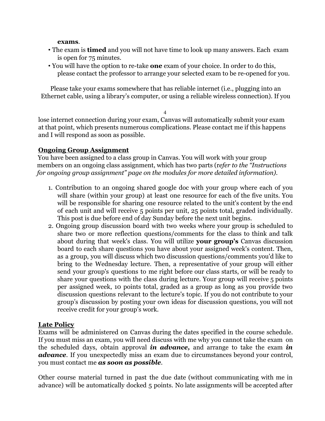### **exams**.

- The exam is **timed** and you will not have time to look up many answers. Each exam is open for 75 minutes.
- You will have the option to re-take **one** exam of your choice. In order to do this, please contact the professor to arrange your selected exam to be re-opened for you.

Please take your exams somewhere that has reliable internet (i.e., plugging into an Ethernet cable, using a library's computer, or using a reliable wireless connection). If you

4

lose internet connection during your exam, Canvas will automatically submit your exam at that point, which presents numerous complications. Please contact me if this happens and I will respond as soon as possible.

## **Ongoing Group Assignment**

You have been assigned to a class group in Canvas. You will work with your group members on an ongoing class assignment, which has two parts (r*efer to the "Instructions for ongoing group assignment" page on the modules for more detailed information).*

- 1. Contribution to an ongoing shared google doc with your group where each of you will share (within your group) at least one resource for each of the five units. You will be responsible for sharing one resource related to the unit's content by the end of each unit and will receive 5 points per unit, 25 points total, graded individually. This post is due before end of day Sunday before the next unit begins.
- 2. Ongoing group discussion board with two weeks where your group is scheduled to share two or more reflection questions/comments for the class to think and talk about during that week's class. You will utilize **your group's** Canvas discussion board to each share questions you have about your assigned week's content. Then, as a group, you will discuss which two discussion questions/comments you'd like to bring to the Wednesday lecture. Then, a representative of your group will either send your group's questions to me right before our class starts, or will be ready to share your questions with the class during lecture. Your group will receive 5 points per assigned week, 10 points total, graded as a group as long as you provide two discussion questions relevant to the lecture's topic. If you do not contribute to your group's discussion by posting your own ideas for discussion questions, you will not receive credit for your group's work.

## **Late Policy**

Exams will be administered on Canvas during the dates specified in the course schedule. If you must miss an exam, you will need discuss with me why you cannot take the exam on the scheduled days, obtain approval *in advance,* and arrange to take the exam *in advance*. If you unexpectedly miss an exam due to circumstances beyond your control, you must contact me *as soon as possible*.

Other course material turned in past the due date (without communicating with me in advance) will be automatically docked 5 points. No late assignments will be accepted after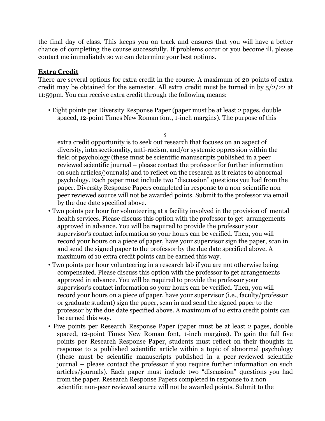the final day of class. This keeps you on track and ensures that you will have a better chance of completing the course successfully. If problems occur or you become ill, please contact me immediately so we can determine your best options.

## **Extra Credit**

There are several options for extra credit in the course. A maximum of 20 points of extra credit may be obtained for the semester. All extra credit must be turned in by 5/2/22 at 11:59pm. You can receive extra credit through the following means:

• Eight points per Diversity Response Paper (paper must be at least 2 pages, double spaced, 12-point Times New Roman font, 1-inch margins). The purpose of this

5 extra credit opportunity is to seek out research that focuses on an aspect of diversity, intersectionality, anti-racism, and/or systemic oppression within the field of psychology (these must be scientific manuscripts published in a peer reviewed scientific journal – please contact the professor for further information on such articles/journals) and to reflect on the research as it relates to abnormal psychology. Each paper must include two "discussion" questions you had from the paper. Diversity Response Papers completed in response to a non-scientific non peer reviewed source will not be awarded points. Submit to the professor via email by the due date specified above.

- Two points per hour for volunteering at a facility involved in the provision of mental health services. Please discuss this option with the professor to get arrangements approved in advance. You will be required to provide the professor your supervisor's contact information so your hours can be verified. Then, you will record your hours on a piece of paper, have your supervisor sign the paper, scan in and send the signed paper to the professor by the due date specified above. A maximum of 10 extra credit points can be earned this way.
- Two points per hour volunteering in a research lab if you are not otherwise being compensated. Please discuss this option with the professor to get arrangements approved in advance. You will be required to provide the professor your supervisor's contact information so your hours can be verified. Then, you will record your hours on a piece of paper, have your supervisor (i.e., faculty/professor or graduate student) sign the paper, scan in and send the signed paper to the professor by the due date specified above. A maximum of 10 extra credit points can be earned this way.
- Five points per Research Response Paper (paper must be at least 2 pages, double spaced, 12-point Times New Roman font, 1-inch margins). To gain the full five points per Research Response Paper, students must reflect on their thoughts in response to a published scientific article within a topic of abnormal psychology (these must be scientific manuscripts published in a peer-reviewed scientific journal – please contact the professor if you require further information on such articles/journals). Each paper must include two "discussion" questions you had from the paper. Research Response Papers completed in response to a non scientific non-peer reviewed source will not be awarded points. Submit to the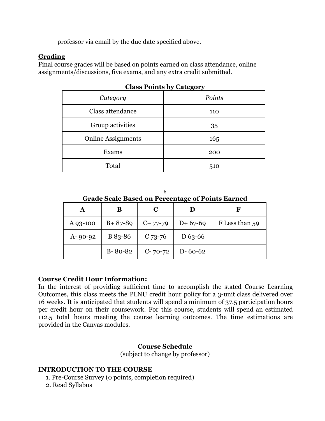professor via email by the due date specified above.

## **Grading**

Final course grades will be based on points earned on class attendance, online assignments/discussions, five exams, and any extra credit submitted.

| Category                  | Points |  |
|---------------------------|--------|--|
| Class attendance          | 110    |  |
| Group activities          | 35     |  |
| <b>Online Assignments</b> | 165    |  |
| Exams                     | 200    |  |
| Total                     | 510    |  |

**Class Points by Category**

| <b>Grade Scale Based on Percentage of Points Earned</b> |  |
|---------------------------------------------------------|--|

| А             | B             | C         | D             | F              |
|---------------|---------------|-----------|---------------|----------------|
| A 93-100      | $B + 87 - 89$ | $C+77-79$ | $D+67-69$     | F Less than 59 |
| $A - 90 - 92$ | B 83-86       | $C$ 73-76 | $D_{63-66}$   |                |
|               | $B - 80 - 82$ | $C-70-72$ | $D - 60 - 62$ |                |

## **Course Credit Hour Information:**

In the interest of providing sufficient time to accomplish the stated Course Learning Outcomes, this class meets the PLNU credit hour policy for a 3-unit class delivered over 16 weeks. It is anticipated that students will spend a minimum of 37.5 participation hours per credit hour on their coursework. For this course, students will spend an estimated 112.5 total hours meeting the course learning outcomes. The time estimations are provided in the Canvas modules.

--------------------------------------------------------------------------------------------------------

## **Course Schedule**

(subject to change by professor)

## **INTRODUCTION TO THE COURSE**

- 1. Pre-Course Survey (0 points, completion required)
- 2. Read Syllabus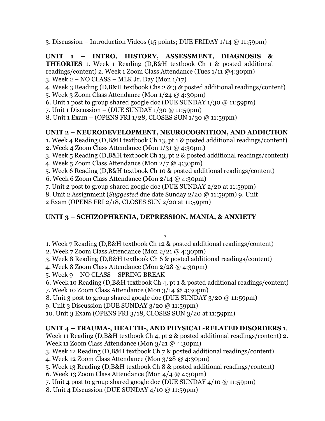3. Discussion – Introduction Videos (15 points; DUE FRIDAY 1/14 @ 11:59pm)

**UNIT 1 – INTRO, HISTORY, ASSESSMENT, DIAGNOSIS & THEORIES** 1. Week 1 Reading (D,B&H textbook Ch 1 & posted additional readings/content) 2. Week 1 Zoom Class Attendance (Tues 1/11 @4:30pm)

- 3. Week 2 NO CLASS MLK Jr. Day (Mon 1/17)
- 4. Week 3 Reading (D,B&H textbook Chs 2 & 3 & posted additional readings/content)
- 5. Week 3 Zoom Class Attendance (Mon 1/24 @ 4:30pm)
- 6. Unit 1 post to group shared google doc (DUE SUNDAY 1/30 @ 11:59pm)
- 7. Unit 1 Discussion (DUE SUNDAY 1/30 @ 11:59pm)
- 8. Unit 1 Exam (OPENS FRI 1/28, CLOSES SUN 1/30 @ 11:59pm)

## **UNIT 2 – NEURODEVELOPMENT, NEUROCOGNITION, AND ADDICTION**

- 1. Week 4 Reading (D,B&H textbook Ch 13, pt 1 & posted additional readings/content)
- 2. Week 4 Zoom Class Attendance (Mon 1/31 @ 4:30pm)
- 3. Week 5 Reading (D,B&H textbook Ch 13, pt 2 & posted additional readings/content)
- 4. Week 5 Zoom Class Attendance (Mon 2/7 @ 4:30pm)
- 5. Week 6 Reading (D,B&H textbook Ch 10 & posted additional readings/content)
- 6. Week 6 Zoom Class Attendance (Mon 2/14 @ 4:30pm)
- 7. Unit 2 post to group shared google doc (DUE SUNDAY 2/20 at 11:59pm)
- 8. Unit 2 Assignment (*Suggested* due date Sunday 2/20 @ 11:59pm) 9. Unit
- 2 Exam (OPENS FRI 2/18, CLOSES SUN 2/20 at 11:59pm)

# **UNIT 3 – SCHIZOPHRENIA, DEPRESSION, MANIA, & ANXIETY**

### 7

- 1. Week 7 Reading (D,B&H textbook Ch 12 & posted additional readings/content)
- 2. Week 7 Zoom Class Attendance (Mon 2/21 @ 4:30pm)
- 3. Week 8 Reading (D,B&H textbook Ch 6 & posted additional readings/content)
- 4. Week 8 Zoom Class Attendance (Mon 2/28 @ 4:30pm)
- 5. Week 9 NO CLASS SPRING BREAK
- 6. Week 10 Reading (D,B&H textbook Ch 4, pt 1 & posted additional readings/content)
- 7. Week 10 Zoom Class Attendance (Mon 3/14 @ 4:30pm)
- 8. Unit 3 post to group shared google doc (DUE SUNDAY 3/20 @ 11:59pm)
- 9. Unit 3 Discussion (DUE SUNDAY 3/20 @ 11:59pm)
- 10. Unit 3 Exam (OPENS FRI 3/18, CLOSES SUN 3/20 at 11:59pm)

# **UNIT 4 – TRAUMA-, HEALTH-, AND PHYSICAL-RELATED DISORDERS** 1.

- Week 11 Reading (D,B&H textbook Ch 4, pt 2 & posted additional readings/content) 2. Week 11 Zoom Class Attendance (Mon 3/21 @ 4:30pm)
- 3. Week 12 Reading (D,B&H textbook Ch 7 & posted additional readings/content)
- 4. Week 12 Zoom Class Attendance (Mon 3/28 @ 4:30pm)
- 5. Week 13 Reading (D,B&H textbook Ch 8 & posted additional readings/content)
- 6. Week 13 Zoom Class Attendance (Mon 4/4 @ 4:30pm)
- 7. Unit 4 post to group shared google doc (DUE SUNDAY 4/10 @ 11:59pm)
- 8. Unit 4 Discussion (DUE SUNDAY 4/10 @ 11:59pm)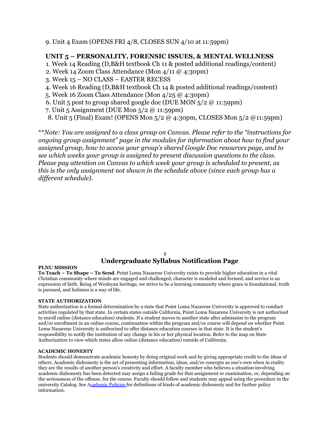9. Unit 4 Exam (OPENS FRI 4/8, CLOSES SUN 4/10 at 11:59pm)

### **UNIT 5 – PERSONALITY, FORENSIC ISSUES, & MENTAL WELLNESS**

1. Week 14 Reading (D,B&H textbook Ch 11 & posted additional readings/content)

- 2. Week 14 Zoom Class Attendance (Mon 4/11 @ 4:30pm)
- 3. Week 15 NO CLASS EASTER RECESS
- 4. Week 16 Reading (D,B&H textbook Ch 14 & posted additional readings/content)
- 5. Week 16 Zoom Class Attendance (Mon 4/25 @ 4:30pm)
- 6. Unit 5 post to group shared google doc (DUE MON 5/2 @ 11:59pm)
- 7. Unit 5 Assignment (DUE Mon 5/2 @ 11:59pm)
- 8. Unit 5 (Final) Exam! (OPENS Mon 5/2 @ 4:30pm, CLOSES Mon 5/2 @11:59pm)

\*\**Note: You are assigned to a class group on Canvas. Please refer to the "instructions for ongoing group assignment" page in the modules for information about how to find your assigned group, how to access your group's shared Google Doc resources page, and to see which weeks your group is assigned to present discussion questions to the class. Please pay attention on Canvas to which week your group is scheduled to present, as this is the only assignment not shown in the schedule above (since each group has a different schedule).*

### 8

## **Undergraduate Syllabus Notification Page**

#### **PLNU MISSION**

**To Teach ~ To Shape ~ To Send**. Point Loma Nazarene University exists to provide higher education in a vital Christian community where minds are engaged and challenged, character is modeled and formed, and service is an expression of faith. Being of Wesleyan heritage, we strive to be a learning community where grace is foundational, truth is pursued, and holiness is a way of life.

### **STATE AUTHORIZATION**

State authorization is a formal determination by a state that Point Loma Nazarene University is approved to conduct activities regulated by that state. In certain states outside California, Point Loma Nazarene University is not authorized to enroll online (distance education) students. If a student moves to another state after admission to the program and/or enrollment in an online course, continuation within the program and/or course will depend on whether Point Loma Nazarene University is authorized to offer distance education courses in that state. It is the student's responsibility to notify the institution of any change in his or her physical location. Refer to the map on State Authorization to view which states allow online (distance education) outside of California.

### **ACADEMIC HONESTY**

Students should demonstrate academic honesty by doing original work and by giving appropriate credit to the ideas of others. Academic dishonesty is the act of presenting information, ideas, and/or concepts as one's own when in reality they are the results of another person's creativity and effort. A faculty member who believes a situation involving academic dishonesty has been detected may assign a failing grade for that assignment or examination, or, depending on the seriousness of the offense, for the course. Faculty should follow and students may appeal using the procedure in the university Catalog. See Academic Policies for definitions of kinds of academic dishonesty and for further policy information.